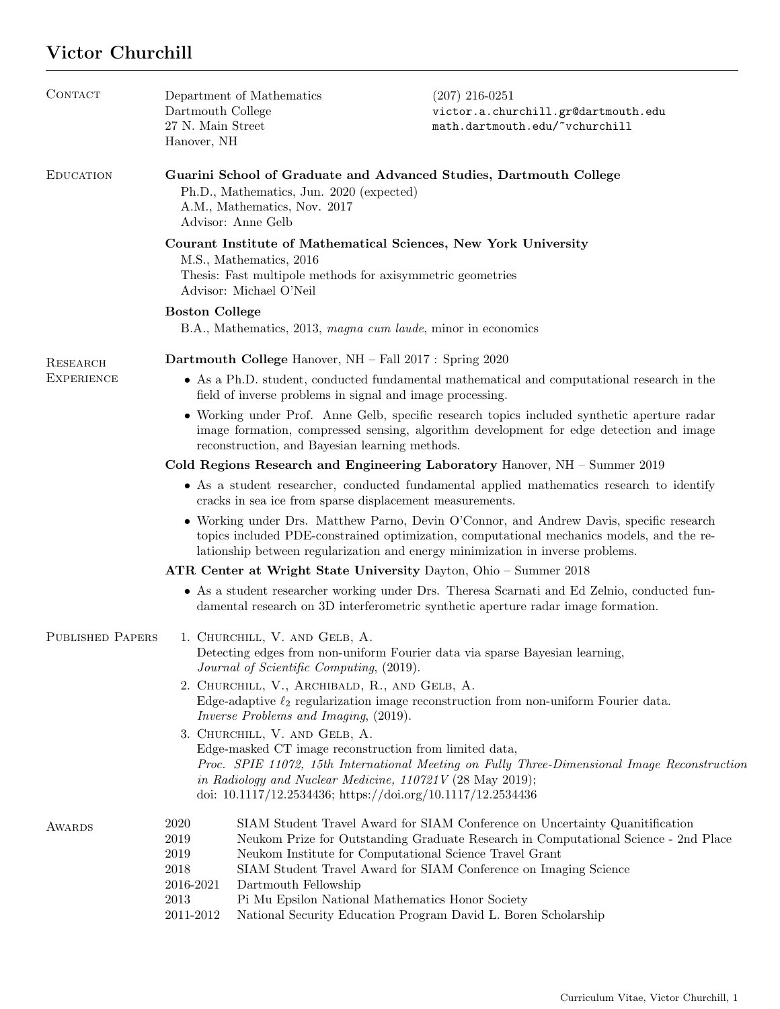## Victor Churchill

| CONTACT                 | Dartmouth College<br>27 N. Main Street<br>Hanover, NH                                                                                                                                                                                                                                                                            | Department of Mathematics | $(207)$ 216-0251<br>victor.a.churchill.gr@dartmouth.edu<br>math.dartmouth.edu/~vchurchill                                                                                                                                                                                                                                                                                                                                |  |  |  |
|-------------------------|----------------------------------------------------------------------------------------------------------------------------------------------------------------------------------------------------------------------------------------------------------------------------------------------------------------------------------|---------------------------|--------------------------------------------------------------------------------------------------------------------------------------------------------------------------------------------------------------------------------------------------------------------------------------------------------------------------------------------------------------------------------------------------------------------------|--|--|--|
| <b>EDUCATION</b>        | Guarini School of Graduate and Advanced Studies, Dartmouth College<br>Ph.D., Mathematics, Jun. 2020 (expected)<br>A.M., Mathematics, Nov. 2017<br>Advisor: Anne Gelb                                                                                                                                                             |                           |                                                                                                                                                                                                                                                                                                                                                                                                                          |  |  |  |
|                         | Courant Institute of Mathematical Sciences, New York University<br>M.S., Mathematics, 2016<br>Thesis: Fast multipole methods for axisymmetric geometries<br>Advisor: Michael O'Neil                                                                                                                                              |                           |                                                                                                                                                                                                                                                                                                                                                                                                                          |  |  |  |
|                         | <b>Boston College</b>                                                                                                                                                                                                                                                                                                            |                           |                                                                                                                                                                                                                                                                                                                                                                                                                          |  |  |  |
|                         | B.A., Mathematics, 2013, magna cum laude, minor in economics                                                                                                                                                                                                                                                                     |                           |                                                                                                                                                                                                                                                                                                                                                                                                                          |  |  |  |
| RESEARCH                | Dartmouth College Hanover, NH - Fall 2017 : Spring 2020                                                                                                                                                                                                                                                                          |                           |                                                                                                                                                                                                                                                                                                                                                                                                                          |  |  |  |
| <b>EXPERIENCE</b>       | • As a Ph.D. student, conducted fundamental mathematical and computational research in the<br>field of inverse problems in signal and image processing.                                                                                                                                                                          |                           |                                                                                                                                                                                                                                                                                                                                                                                                                          |  |  |  |
|                         | • Working under Prof. Anne Gelb, specific research topics included synthetic aperture radar<br>image formation, compressed sensing, algorithm development for edge detection and image<br>reconstruction, and Bayesian learning methods.                                                                                         |                           |                                                                                                                                                                                                                                                                                                                                                                                                                          |  |  |  |
|                         | Cold Regions Research and Engineering Laboratory Hanover, $NH -$ Summer 2019                                                                                                                                                                                                                                                     |                           |                                                                                                                                                                                                                                                                                                                                                                                                                          |  |  |  |
|                         | • As a student researcher, conducted fundamental applied mathematics research to identify<br>cracks in sea ice from sparse displacement measurements.                                                                                                                                                                            |                           |                                                                                                                                                                                                                                                                                                                                                                                                                          |  |  |  |
|                         | • Working under Drs. Matthew Parno, Devin O'Connor, and Andrew Davis, specific research<br>topics included PDE-constrained optimization, computational mechanics models, and the re-<br>lationship between regularization and energy minimization in inverse problems.                                                           |                           |                                                                                                                                                                                                                                                                                                                                                                                                                          |  |  |  |
|                         | ATR Center at Wright State University Dayton, Ohio – Summer 2018                                                                                                                                                                                                                                                                 |                           |                                                                                                                                                                                                                                                                                                                                                                                                                          |  |  |  |
|                         |                                                                                                                                                                                                                                                                                                                                  |                           | • As a student researcher working under Drs. Theresa Scarnati and Ed Zelnio, conducted fun-<br>damental research on 3D interferometric synthetic aperture radar image formation.                                                                                                                                                                                                                                         |  |  |  |
| <b>PUBLISHED PAPERS</b> | 1. CHURCHILL, V. AND GELB, A.<br>Detecting edges from non-uniform Fourier data via sparse Bayesian learning,<br>Journal of Scientific Computing, (2019).                                                                                                                                                                         |                           |                                                                                                                                                                                                                                                                                                                                                                                                                          |  |  |  |
|                         | 2. CHURCHILL, V., ARCHIBALD, R., AND GELB, A.<br>Edge-adaptive $\ell_2$ regularization image reconstruction from non-uniform Fourier data.<br>Inverse Problems and Imaging, (2019).                                                                                                                                              |                           |                                                                                                                                                                                                                                                                                                                                                                                                                          |  |  |  |
|                         | 3. CHURCHILL, V. AND GELB, A.<br>Edge-masked CT image reconstruction from limited data,<br>Proc. SPIE 11072, 15th International Meeting on Fully Three-Dimensional Image Reconstruction<br>in Radiology and Nuclear Medicine, $110721V(28 \text{ May } 2019);$<br>doi: $10.1117/12.2534436$ ; https://doi.org/10.1117/12.2534436 |                           |                                                                                                                                                                                                                                                                                                                                                                                                                          |  |  |  |
| <b>AWARDS</b>           | 2020<br>2019<br>2019<br>2018<br>2016-2021<br>2013<br>2011-2012                                                                                                                                                                                                                                                                   | Dartmouth Fellowship      | SIAM Student Travel Award for SIAM Conference on Uncertainty Quanitification<br>Neukom Prize for Outstanding Graduate Research in Computational Science - 2nd Place<br>Neukom Institute for Computational Science Travel Grant<br>SIAM Student Travel Award for SIAM Conference on Imaging Science<br>Pi Mu Epsilon National Mathematics Honor Society<br>National Security Education Program David L. Boren Scholarship |  |  |  |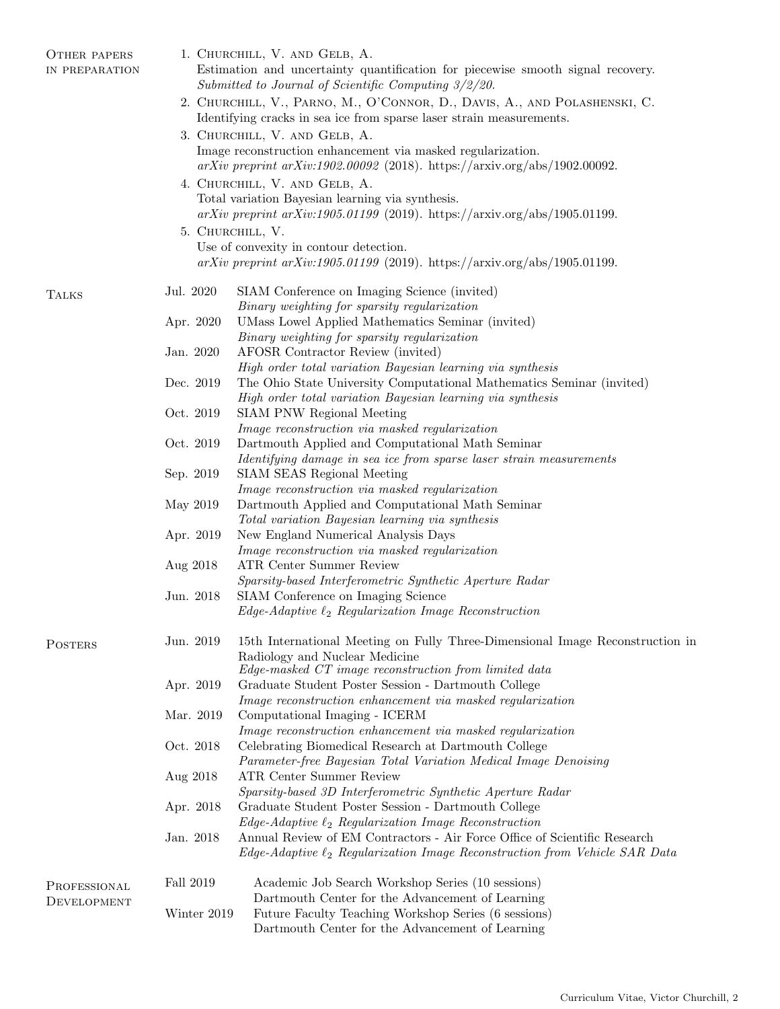| <b>OTHER PAPERS</b><br>IN PREPARATION | 1. CHURCHILL, V. AND GELB, A.<br>Estimation and uncertainty quantification for piecewise smooth signal recovery.<br>Submitted to Journal of Scientific Computing $3/2/20$ . |                                                                                                                                                                        |  |  |  |
|---------------------------------------|-----------------------------------------------------------------------------------------------------------------------------------------------------------------------------|------------------------------------------------------------------------------------------------------------------------------------------------------------------------|--|--|--|
|                                       | 2. CHURCHILL, V., PARNO, M., O'CONNOR, D., DAVIS, A., AND POLASHENSKI, C.                                                                                                   |                                                                                                                                                                        |  |  |  |
|                                       | Identifying cracks in sea ice from sparse laser strain measurements.                                                                                                        |                                                                                                                                                                        |  |  |  |
|                                       | 3. CHURCHILL, V. AND GELB, A.<br>Image reconstruction enhancement via masked regularization.                                                                                |                                                                                                                                                                        |  |  |  |
|                                       | $arXiv$ preprint $arXiv:1902.00092$ (2018). https://arxiv.org/abs/1902.00092.                                                                                               |                                                                                                                                                                        |  |  |  |
|                                       | 4. CHURCHILL, V. AND GELB, A.                                                                                                                                               |                                                                                                                                                                        |  |  |  |
|                                       | Total variation Bayesian learning via synthesis.                                                                                                                            |                                                                                                                                                                        |  |  |  |
|                                       | $arXiv$ preprint $arXiv:1905.01199$ (2019). https://arxiv.org/abs/1905.01199.                                                                                               |                                                                                                                                                                        |  |  |  |
|                                       | 5. CHURCHILL, V.                                                                                                                                                            |                                                                                                                                                                        |  |  |  |
|                                       |                                                                                                                                                                             | Use of convexity in contour detection.<br>$arXiv$ preprint $arXiv:1905.01199$ (2019). https://arxiv.org/abs/1905.01199.                                                |  |  |  |
| <b>TALKS</b>                          | Jul. 2020                                                                                                                                                                   | SIAM Conference on Imaging Science (invited)                                                                                                                           |  |  |  |
|                                       |                                                                                                                                                                             | Binary weighting for sparsity regularization                                                                                                                           |  |  |  |
|                                       | Apr. 2020                                                                                                                                                                   | UMass Lowel Applied Mathematics Seminar (invited)                                                                                                                      |  |  |  |
|                                       |                                                                                                                                                                             | Binary weighting for sparsity regularization                                                                                                                           |  |  |  |
|                                       | Jan. 2020                                                                                                                                                                   | AFOSR Contractor Review (invited)<br>High order total variation Bayesian learning via synthesis                                                                        |  |  |  |
|                                       | Dec. 2019                                                                                                                                                                   | The Ohio State University Computational Mathematics Seminar (invited)                                                                                                  |  |  |  |
|                                       |                                                                                                                                                                             | High order total variation Bayesian learning via synthesis                                                                                                             |  |  |  |
|                                       | Oct. 2019                                                                                                                                                                   | SIAM PNW Regional Meeting                                                                                                                                              |  |  |  |
|                                       |                                                                                                                                                                             | Image reconstruction via masked regularization                                                                                                                         |  |  |  |
|                                       | Oct. 2019                                                                                                                                                                   | Dartmouth Applied and Computational Math Seminar                                                                                                                       |  |  |  |
|                                       | Sep. 2019                                                                                                                                                                   | Identifying damage in sea ice from sparse laser strain measurements<br>SIAM SEAS Regional Meeting                                                                      |  |  |  |
|                                       |                                                                                                                                                                             | Image reconstruction via masked regularization                                                                                                                         |  |  |  |
|                                       | May 2019                                                                                                                                                                    | Dartmouth Applied and Computational Math Seminar<br>Total variation Bayesian learning via synthesis                                                                    |  |  |  |
|                                       | Apr. 2019                                                                                                                                                                   | New England Numerical Analysis Days                                                                                                                                    |  |  |  |
|                                       |                                                                                                                                                                             | Image reconstruction via masked regularization                                                                                                                         |  |  |  |
|                                       | Aug 2018                                                                                                                                                                    | ATR Center Summer Review                                                                                                                                               |  |  |  |
|                                       |                                                                                                                                                                             | Sparsity-based Interferometric Synthetic Aperture Radar                                                                                                                |  |  |  |
|                                       | Jun. 2018                                                                                                                                                                   | SIAM Conference on Imaging Science                                                                                                                                     |  |  |  |
|                                       |                                                                                                                                                                             | $Edge-Adaptive \ell_2\ Regularization\ Image\ Reconstruction$                                                                                                          |  |  |  |
| <b>POSTERS</b>                        | Jun. 2019                                                                                                                                                                   | 15th International Meeting on Fully Three-Dimensional Image Reconstruction in<br>Radiology and Nuclear Medicine                                                        |  |  |  |
|                                       |                                                                                                                                                                             | Edge-masked CT image reconstruction from limited data                                                                                                                  |  |  |  |
|                                       | Apr. 2019                                                                                                                                                                   | Graduate Student Poster Session - Dartmouth College                                                                                                                    |  |  |  |
|                                       |                                                                                                                                                                             | Image reconstruction enhancement via masked regularization                                                                                                             |  |  |  |
|                                       | Mar. 2019                                                                                                                                                                   | Computational Imaging - ICERM                                                                                                                                          |  |  |  |
|                                       |                                                                                                                                                                             | Image reconstruction enhancement via masked regularization                                                                                                             |  |  |  |
|                                       | Oct. 2018                                                                                                                                                                   | Celebrating Biomedical Research at Dartmouth College                                                                                                                   |  |  |  |
|                                       | Aug 2018                                                                                                                                                                    | Parameter-free Bayesian Total Variation Medical Image Denoising<br><b>ATR Center Summer Review</b>                                                                     |  |  |  |
|                                       |                                                                                                                                                                             | Sparsity-based 3D Interferometric Synthetic Aperture Radar                                                                                                             |  |  |  |
|                                       | Apr. 2018                                                                                                                                                                   | Graduate Student Poster Session - Dartmouth College                                                                                                                    |  |  |  |
|                                       |                                                                                                                                                                             | $Edge\text{-}Adaptive \ell_2\; Regularization\; Image\; Reconstruction$                                                                                                |  |  |  |
|                                       | Jan. 2018                                                                                                                                                                   | Annual Review of EM Contractors - Air Force Office of Scientific Research<br>$Edge\text{-}Adaptive$ $\ell_2$ Regularization Image Reconstruction from Vehicle SAR Data |  |  |  |
| PROFESSIONAL                          | Fall 2019                                                                                                                                                                   | Academic Job Search Workshop Series (10 sessions)                                                                                                                      |  |  |  |
| DEVELOPMENT                           |                                                                                                                                                                             | Dartmouth Center for the Advancement of Learning                                                                                                                       |  |  |  |
|                                       | Winter 2019                                                                                                                                                                 | Future Faculty Teaching Workshop Series (6 sessions)<br>Dartmouth Center for the Advancement of Learning                                                               |  |  |  |